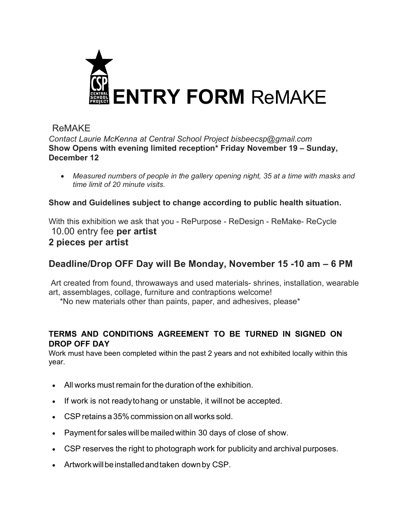

# ReMAKE

*Contact Laurie McKenna at Central School Project bisbeecsp@gmail.com* **Show Opens with evening limited reception\* Friday November 19 – Sunday, December 12**

• *Measured numbers of people in the gallery opening night, 35 at a time with masks and time limit of 20 minute visits.*

### **Show and Guidelines subject to change according to public health situation.**

With this exhibition we ask that you - RePurpose - ReDesign - ReMake- ReCycle 10.00 entry fee **per artist 2 pieces per artist**

# **Deadline/Drop OFF Day will Be Monday, November 15 -10 am – 6 PM**

Art created from found, throwaways and used materials- shrines, installation, wearable art, assemblages, collage, furniture and contraptions welcome!

\*No new materials other than paints, paper, and adhesives, please\*

#### **TERMS AND CONDITIONS AGREEMENT TO BE TURNED IN SIGNED ON DROP OFF DAY**

Work must have been completed within the past 2 years and not exhibited locally within this year.

- All works must remain for the duration of the exhibition.
- If work is not ready to hang or unstable, it will not be accepted.
- CSPretains a 35% commission on all works sold.
- Payment for sales will be mailed within 30 days of close of show.
- CSP reserves the right to photograph work for publicity and archival purposes.
- Artworkwillbeinstalledandtaken downby CSP.